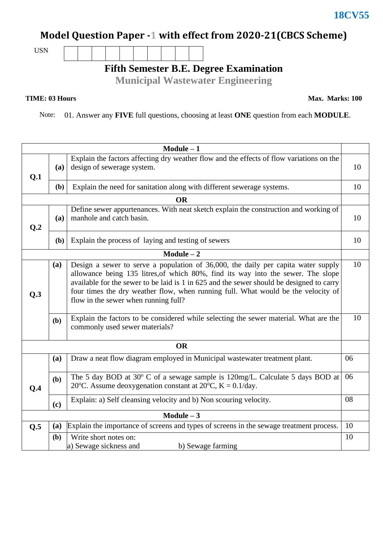## **Model Question Paper -1 with effect from 2020-21(CBCS Scheme)**

USN

**Fifth Semester B.E. Degree Examination**

**Municipal Wastewater Engineering**

## **TIME: 03 Hours**

**Max. Marks: 100**

Note: 01. Answer any **FIVE** full questions, choosing at least **ONE** question from each **MODULE**.

| $Module - 1$    |     |                                                                                                                                                                                                                                                                                                                                                                                                |    |  |  |  |  |
|-----------------|-----|------------------------------------------------------------------------------------------------------------------------------------------------------------------------------------------------------------------------------------------------------------------------------------------------------------------------------------------------------------------------------------------------|----|--|--|--|--|
| Q.1             | (a) | Explain the factors affecting dry weather flow and the effects of flow variations on the<br>design of sewerage system.                                                                                                                                                                                                                                                                         |    |  |  |  |  |
|                 | (b) | Explain the need for sanitation along with different sewerage systems.                                                                                                                                                                                                                                                                                                                         |    |  |  |  |  |
| <b>OR</b>       |     |                                                                                                                                                                                                                                                                                                                                                                                                |    |  |  |  |  |
| Q <sub>.2</sub> | (a) | Define sewer appurtenances. With neat sketch explain the construction and working of<br>manhole and catch basin.                                                                                                                                                                                                                                                                               |    |  |  |  |  |
|                 | (b) | Explain the process of laying and testing of sewers                                                                                                                                                                                                                                                                                                                                            |    |  |  |  |  |
| $Module - 2$    |     |                                                                                                                                                                                                                                                                                                                                                                                                |    |  |  |  |  |
| Q.3             | (a) | Design a sewer to serve a population of 36,000, the daily per capita water supply<br>allowance being 135 litres, of which 80%, find its way into the sewer. The slope<br>available for the sewer to be laid is 1 in 625 and the sewer should be designed to carry<br>four times the dry weather flow, when running full. What would be the velocity of<br>flow in the sewer when running full? |    |  |  |  |  |
|                 | (b) | Explain the factors to be considered while selecting the sewer material. What are the<br>commonly used sewer materials?                                                                                                                                                                                                                                                                        | 10 |  |  |  |  |
| <b>OR</b>       |     |                                                                                                                                                                                                                                                                                                                                                                                                |    |  |  |  |  |
|                 | (a) | Draw a neat flow diagram employed in Municipal wastewater treatment plant.                                                                                                                                                                                                                                                                                                                     | 06 |  |  |  |  |
| Q.4             | (b) | The 5 day BOD at 30° C of a sewage sample is 120mg/L. Calculate 5 days BOD at<br>20°C. Assume deoxygenation constant at $20^{\circ}$ C, K = 0.1/day.                                                                                                                                                                                                                                           |    |  |  |  |  |
|                 | (c) | Explain: a) Self cleansing velocity and b) Non scouring velocity.                                                                                                                                                                                                                                                                                                                              | 08 |  |  |  |  |
| $Module - 3$    |     |                                                                                                                                                                                                                                                                                                                                                                                                |    |  |  |  |  |
| Q.5             | (a) | Explain the importance of screens and types of screens in the sewage treatment process.                                                                                                                                                                                                                                                                                                        | 10 |  |  |  |  |
|                 | (b) | Write short notes on:<br>a) Sewage sickness and<br>b) Sewage farming                                                                                                                                                                                                                                                                                                                           | 10 |  |  |  |  |

**18CV55**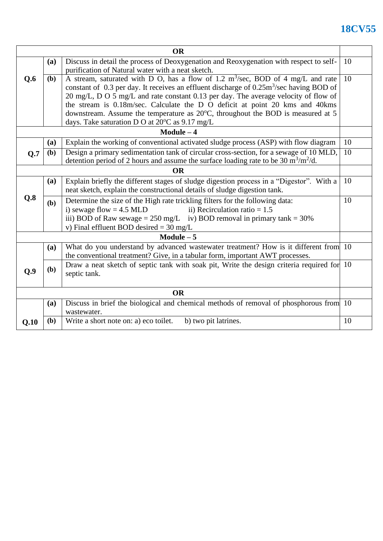## **18CV55**

| <b>OR</b>   |                                                                                                                                                                                                              |                                                                                                          |    |  |  |  |  |
|-------------|--------------------------------------------------------------------------------------------------------------------------------------------------------------------------------------------------------------|----------------------------------------------------------------------------------------------------------|----|--|--|--|--|
|             | <b>(a)</b>                                                                                                                                                                                                   | Discuss in detail the process of Deoxygenation and Reoxygenation with respect to self-                   |    |  |  |  |  |
|             |                                                                                                                                                                                                              | purification of Natural water with a neat sketch.                                                        |    |  |  |  |  |
| Q.6         | <b>(b)</b>                                                                                                                                                                                                   | A stream, saturated with D O, has a flow of 1.2 $m3/sec$ , BOD of 4 mg/L and rate                        |    |  |  |  |  |
|             |                                                                                                                                                                                                              | constant of 0.3 per day. It receives an effluent discharge of $0.25 \text{m}^3/\text{sec}$ having BOD of |    |  |  |  |  |
|             | 20 mg/L, D O 5 mg/L and rate constant 0.13 per day. The average velocity of flow of                                                                                                                          |                                                                                                          |    |  |  |  |  |
|             | the stream is 0.18m/sec. Calculate the D O deficit at point 20 kms and 40kms                                                                                                                                 |                                                                                                          |    |  |  |  |  |
|             |                                                                                                                                                                                                              | downstream. Assume the temperature as 20°C, throughout the BOD is measured at 5                          |    |  |  |  |  |
|             |                                                                                                                                                                                                              | days. Take saturation D O at $20^{\circ}$ C as $9.17$ mg/L                                               |    |  |  |  |  |
|             |                                                                                                                                                                                                              | $Module - 4$                                                                                             |    |  |  |  |  |
|             | <b>(a)</b>                                                                                                                                                                                                   | Explain the working of conventional activated sludge process (ASP) with flow diagram                     | 10 |  |  |  |  |
| Q.7         | Design a primary sedimentation tank of circular cross-section, for a sewage of 10 MLD,<br>(b)<br>detention period of 2 hours and assume the surface loading rate to be 30 $\text{m}^3/\text{m}^2/\text{d}$ . |                                                                                                          |    |  |  |  |  |
|             |                                                                                                                                                                                                              | <b>OR</b>                                                                                                |    |  |  |  |  |
|             | (a)                                                                                                                                                                                                          | Explain briefly the different stages of sludge digestion process in a "Digestor". With a                 | 10 |  |  |  |  |
|             | neat sketch, explain the constructional details of sludge digestion tank.                                                                                                                                    |                                                                                                          |    |  |  |  |  |
| Q.8         | (b)                                                                                                                                                                                                          | Determine the size of the High rate trickling filters for the following data:                            | 10 |  |  |  |  |
|             |                                                                                                                                                                                                              | ii) Recirculation ratio $= 1.5$<br>i) sewage flow = $4.5$ MLD                                            |    |  |  |  |  |
|             | iii) BOD of Raw sewage = $250 \text{ mg/L}$ iv) BOD removal in primary tank = $30\%$                                                                                                                         |                                                                                                          |    |  |  |  |  |
|             |                                                                                                                                                                                                              | v) Final effluent BOD desired = $30 \text{ mg/L}$                                                        |    |  |  |  |  |
| Module $-5$ |                                                                                                                                                                                                              |                                                                                                          |    |  |  |  |  |
|             | (a)                                                                                                                                                                                                          | What do you understand by advanced wastewater treatment? How is it different from 10                     |    |  |  |  |  |
|             |                                                                                                                                                                                                              | the conventional treatment? Give, in a tabular form, important AWT processes.                            |    |  |  |  |  |
| 0.9         | (b)                                                                                                                                                                                                          | Draw a neat sketch of septic tank with soak pit, Write the design criteria required for 10               |    |  |  |  |  |
|             |                                                                                                                                                                                                              | septic tank.                                                                                             |    |  |  |  |  |
| <b>OR</b>   |                                                                                                                                                                                                              |                                                                                                          |    |  |  |  |  |
|             | (a)                                                                                                                                                                                                          | Discuss in brief the biological and chemical methods of removal of phosphorous from 10                   |    |  |  |  |  |
|             |                                                                                                                                                                                                              | wastewater.                                                                                              |    |  |  |  |  |
| Q.10        | (b)                                                                                                                                                                                                          | Write a short note on: a) eco toilet.<br>b) two pit latrines.                                            | 10 |  |  |  |  |